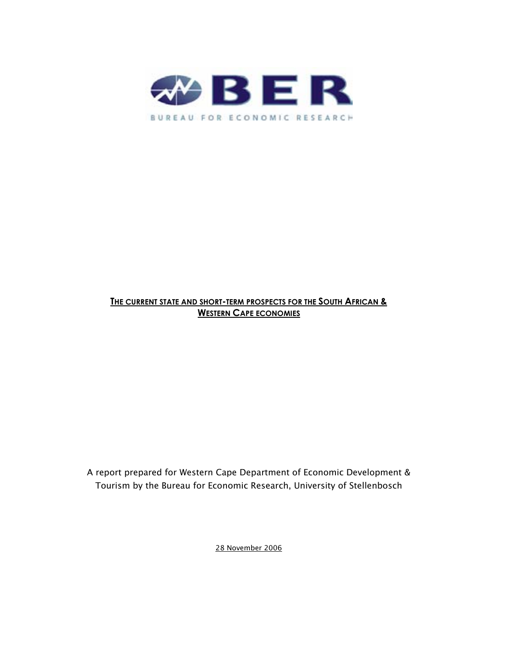

## **THE CURRENT STATE AND SHORT-TERM PROSPECTS FOR THE SOUTH AFRICAN & WESTERN CAPE ECONOMIES**

A report prepared for Western Cape Department of Economic Development & Tourism by the Bureau for Economic Research, University of Stellenbosch

28 November 2006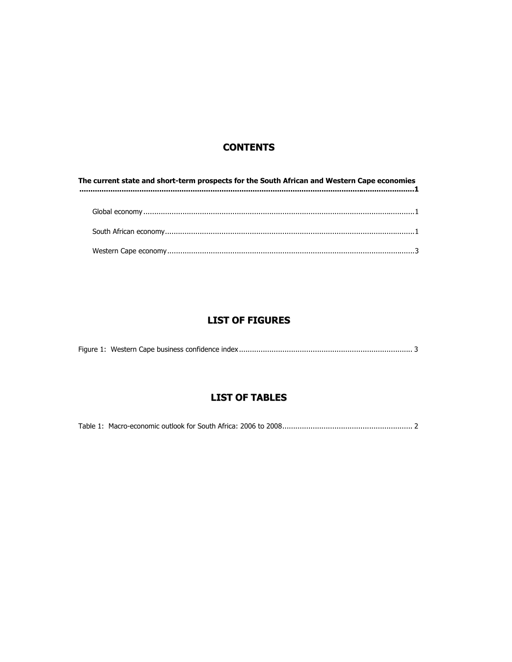## **CONTENTS**

| The current state and short-term prospects for the South African and Western Cape economies<br>$\label{prop:main} 1$ |  |  |  |  |  |
|----------------------------------------------------------------------------------------------------------------------|--|--|--|--|--|
|                                                                                                                      |  |  |  |  |  |
|                                                                                                                      |  |  |  |  |  |
|                                                                                                                      |  |  |  |  |  |
|                                                                                                                      |  |  |  |  |  |

# **LIST OF FIGURES**

|--|--|--|--|

# **LIST OF TABLES**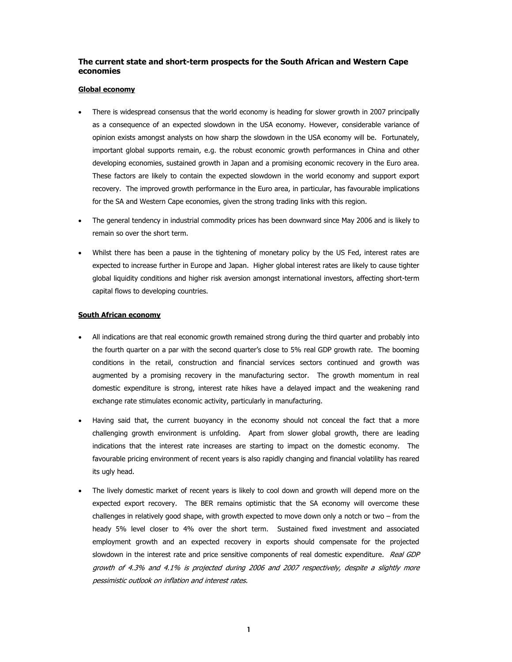## **The current state and short-term prospects for the South African and Western Cape economies**

### **Global economy**

- There is widespread consensus that the world economy is heading for slower growth in 2007 principally as a consequence of an expected slowdown in the USA economy. However, considerable variance of opinion exists amongst analysts on how sharp the slowdown in the USA economy will be. Fortunately, important global supports remain, e.g. the robust economic growth performances in China and other developing economies, sustained growth in Japan and a promising economic recovery in the Euro area. These factors are likely to contain the expected slowdown in the world economy and support export recovery. The improved growth performance in the Euro area, in particular, has favourable implications for the SA and Western Cape economies, given the strong trading links with this region.
- The general tendency in industrial commodity prices has been downward since May 2006 and is likely to remain so over the short term.
- Whilst there has been a pause in the tightening of monetary policy by the US Fed, interest rates are expected to increase further in Europe and Japan. Higher global interest rates are likely to cause tighter global liquidity conditions and higher risk aversion amongst international investors, affecting short-term capital flows to developing countries.

## **South African economy**

- All indications are that real economic growth remained strong during the third quarter and probably into the fourth quarter on a par with the second quarter's close to 5% real GDP growth rate. The booming conditions in the retail, construction and financial services sectors continued and growth was augmented by a promising recovery in the manufacturing sector. The growth momentum in real domestic expenditure is strong, interest rate hikes have a delayed impact and the weakening rand exchange rate stimulates economic activity, particularly in manufacturing.
- Having said that, the current buoyancy in the economy should not conceal the fact that a more challenging growth environment is unfolding. Apart from slower global growth, there are leading indications that the interest rate increases are starting to impact on the domestic economy. The favourable pricing environment of recent years is also rapidly changing and financial volatility has reared its ugly head.
- The lively domestic market of recent years is likely to cool down and growth will depend more on the expected export recovery. The BER remains optimistic that the SA economy will overcome these challenges in relatively good shape, with growth expected to move down only a notch or two – from the heady 5% level closer to 4% over the short term. Sustained fixed investment and associated employment growth and an expected recovery in exports should compensate for the projected slowdown in the interest rate and price sensitive components of real domestic expenditure. Real GDP growth of 4.3% and 4.1% is projected during 2006 and 2007 respectively, despite a slightly more pessimistic outlook on inflation and interest rates.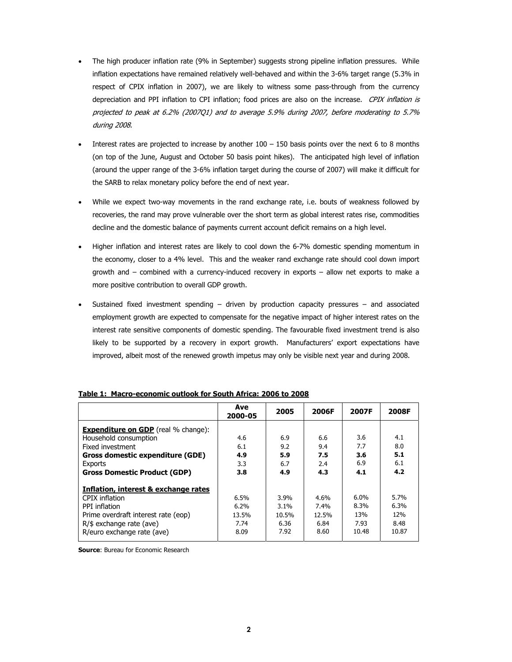- The high producer inflation rate (9% in September) suggests strong pipeline inflation pressures. While inflation expectations have remained relatively well-behaved and within the 3-6% target range (5.3% in respect of CPIX inflation in 2007), we are likely to witness some pass-through from the currency depreciation and PPI inflation to CPI inflation; food prices are also on the increase. CPIX inflation is projected to peak at 6.2% (2007Q1) and to average 5.9% during 2007, before moderating to 5.7% during 2008.
- Interest rates are projected to increase by another  $100 150$  basis points over the next 6 to 8 months (on top of the June, August and October 50 basis point hikes). The anticipated high level of inflation (around the upper range of the 3-6% inflation target during the course of 2007) will make it difficult for the SARB to relax monetary policy before the end of next year.
- While we expect two-way movements in the rand exchange rate, i.e. bouts of weakness followed by recoveries, the rand may prove vulnerable over the short term as global interest rates rise, commodities decline and the domestic balance of payments current account deficit remains on a high level.
- Higher inflation and interest rates are likely to cool down the 6-7% domestic spending momentum in the economy, closer to a 4% level. This and the weaker rand exchange rate should cool down import growth and – combined with a currency-induced recovery in exports – allow net exports to make a more positive contribution to overall GDP growth.
- Sustained fixed investment spending driven by production capacity pressures and associated employment growth are expected to compensate for the negative impact of higher interest rates on the interest rate sensitive components of domestic spending. The favourable fixed investment trend is also likely to be supported by a recovery in export growth. Manufacturers' export expectations have improved, albeit most of the renewed growth impetus may only be visible next year and during 2008.

|                                            | Ave<br>2000-05 | 2005    | 2006F | 2007F   | 2008F |
|--------------------------------------------|----------------|---------|-------|---------|-------|
| <b>Expenditure on GDP</b> (real % change): |                |         |       |         |       |
| Household consumption                      | 4.6            | 6.9     | 6.6   | 3.6     | 4.1   |
| Fixed investment                           | 6.1            | 9.2     | 9.4   | 7.7     | 8.0   |
| Gross domestic expenditure (GDE)           | 4.9            | 5.9     | 7.5   | 3.6     | 5.1   |
| Exports                                    | 3.3            | 6.7     | 2.4   | 6.9     | 6.1   |
| <b>Gross Domestic Product (GDP)</b>        | 3.8            | 4.9     | 4.3   | 4.1     | 4.2   |
| Inflation, interest & exchange rates       |                |         |       |         |       |
| CPIX inflation                             | 6.5%           | 3.9%    | 4.6%  | $6.0\%$ | 5.7%  |
| PPI inflation                              | 6.2%           | $3.1\%$ | 7.4%  | 8.3%    | 6.3%  |
| Prime overdraft interest rate (eop)        | 13.5%          | 10.5%   | 12.5% | 13%     | 12%   |
| $R/\$$ exchange rate (ave)                 | 7.74           | 6.36    | 6.84  | 7.93    | 8.48  |
| R/euro exchange rate (ave)                 | 8.09           | 7.92    | 8.60  | 10.48   | 10.87 |

### **Table 1: Macro-economic outlook for South Africa: 2006 to 2008**

**Source: Bureau for Economic Research**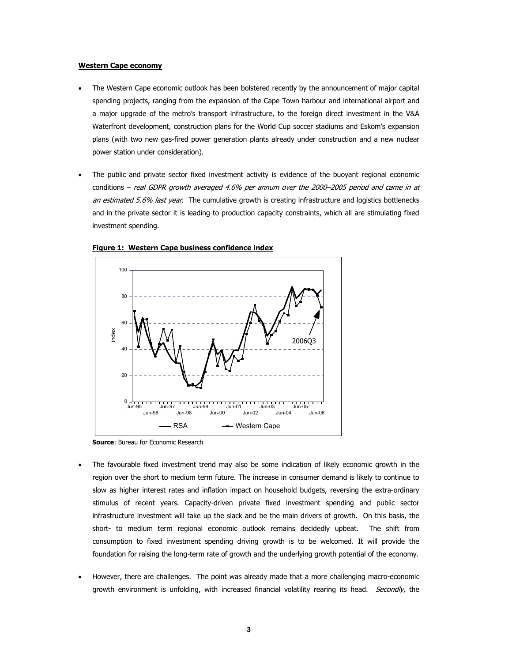#### **Western Cape economy**

- The Western Cape economic outlook has been bolstered recently by the announcement of major capital spending projects, ranging from the expansion of the Cape Town harbour and international airport and a major upgrade of the metro's transport infrastructure, to the foreign direct investment in the V&A Waterfront development, construction plans for the World Cup soccer stadiums and Eskom's expansion plans (with two new gas-fired power generation plants already under construction and a new nuclear power station under consideration).
- The public and private sector fixed investment activity is evidence of the buoyant regional economic conditions – real GDPR growth averaged 4.6% per annum over the 2000–2005 period and came in at an estimated 5.6% last year. The cumulative growth is creating infrastructure and logistics bottlenecks and in the private sector it is leading to production capacity constraints, which all are stimulating fixed investment spending.





**Source: Bureau for Economic Research** 

- The favourable fixed investment trend may also be some indication of likely economic growth in the region over the short to medium term future. The increase in consumer demand is likely to continue to slow as higher interest rates and inflation impact on household budgets, reversing the extra-ordinary stimulus of recent years. Capacity-driven private fixed investment spending and public sector infrastructure investment will take up the slack and be the main drivers of growth. On this basis, the short- to medium term regional economic outlook remains decidedly upbeat. The shift from consumption to fixed investment spending driving growth is to be welcomed. It will provide the foundation for raising the long-term rate of growth and the underlying growth potential of the economy.
- However, there are challenges. The point was already made that a more challenging macro-economic growth environment is unfolding, with increased financial volatility rearing its head. Secondly, the